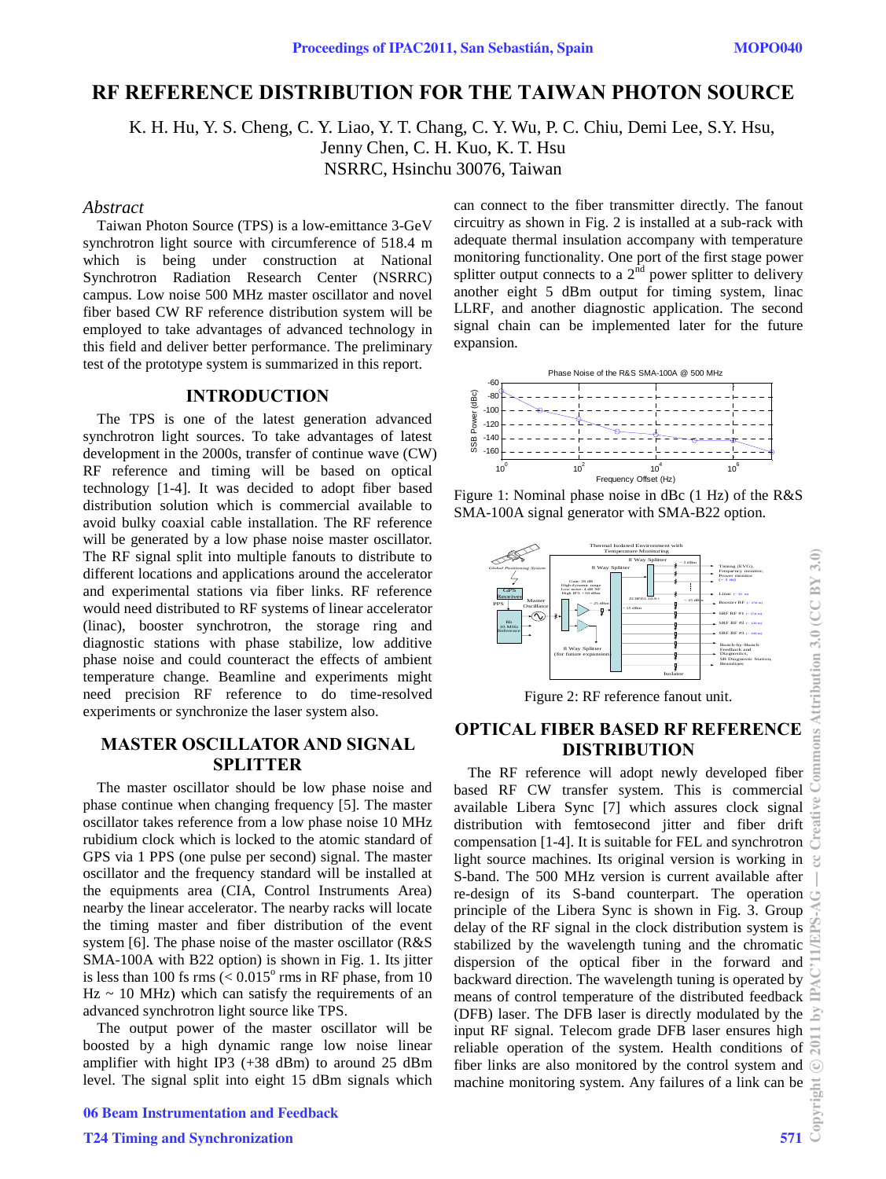# **RF REFERENCE DISTRIBUTION FOR THE TAIWAN PHOTON SOURCE**

 K. H. Hu, Y. S. Cheng, C. Y. Liao, Y. T. Chang, C. Y. Wu, P. C. Chiu, Demi Lee, S.Y. Hsu, Jenny Chen, C. H. Kuo, K. T. Hsu NSRRC, Hsinchu 30076, Taiwan

#### *Abstract*

Taiwan Photon Source (TPS) is a low-emittance 3-GeV synchrotron light source with circumference of 518.4 m which is being under construction at National Synchrotron Radiation Research Center (NSRRC) campus. Low noise 500 MHz master oscillator and novel fiber based CW RF reference distribution system will be employed to take advantages of advanced technology in this field and deliver better performance. The preliminary test of the prototype system is summarized in this report.

#### **INTRODUCTION**

The TPS is one of the latest generation advanced synchrotron light sources. To take advantages of latest development in the 2000s, transfer of continue wave (CW) RF reference and timing will be based on optical technology [1-4]. It was decided to adopt fiber based distribution solution which is commercial available to avoid bulky coaxial cable installation. The RF reference will be generated by a low phase noise master oscillator. The RF signal split into multiple fanouts to distribute to different locations and applications around the accelerator and experimental stations via fiber links. RF reference would need distributed to RF systems of linear accelerator (linac), booster synchrotron, the storage ring and diagnostic stations with phase stabilize, low additive phase noise and could counteract the effects of ambient temperature change. Beamline and experiments might need precision RF reference to do time-resolved experiments or synchronize the laser system also.

# **MASTER OSCILLATOR AND SIGNAL SPLITTER**

The master oscillator should be low phase noise and phase continue when changing frequency [5]. The master oscillator takes reference from a low phase noise 10 MHz rubidium clock which is locked to the atomic standard of GPS via 1 PPS (one pulse per second) signal. The master oscillator and the frequency standard will be installed at the equipments area (CIA, Control Instruments Area) nearby the linear accelerator. The nearby racks will locate the timing master and fiber distribution of the event system [6]. The phase noise of the master oscillator (R&S SMA-100A with B22 option) is shown in Fig. 1. Its jitter is less than 100 fs rms  $(< 0.015<sup>o</sup>$  rms in RF phase, from 10  $Hz \sim 10$  MHz) which can satisfy the requirements of an advanced synchrotron light source like TPS.

The output power of the master oscillator will be boosted by a high dynamic range low noise linear amplifier with hight IP3 (+38 dBm) to around 25 dBm level. The signal split into eight 15 dBm signals which

06 Beam Instrumentation and Feedback

can connect to the fiber transmitter directly. The fanout circuitry as shown in Fig. 2 is installed at a sub-rack with adequate thermal insulation accompany with temperature monitoring functionality. One port of the first stage power splitter output connects to a  $2<sup>nd</sup>$  power splitter to delivery another eight 5 dBm output for timing system, linac LLRF, and another diagnostic application. The second signal chain can be implemented later for the future expansion.



Figure 1: Nominal phase noise in dBc (1 Hz) of the R&S SMA-100A signal generator with SMA-B22 option.



Figure 2: RF reference fanout unit.

# **OPTICAL FIBER BASED RF REFERENCE DISTRIBUTION**

The RF reference will adopt newly developed fiber based RF CW transfer system. This is commercial available Libera Sync [7] which assures clock signal distribution with femtosecond jitter and fiber drift compensation [1-4]. It is suitable for FEL and synchrotron light source machines. Its original version is working in  $\mathfrak{S}$ S-band. The 500 MHz version is current available after re-design of its S-band counterpart. The operation principle of the Libera Sync is shown in Fig. 3. Group delay of the RF signal in the clock distribution system is stabilized by the wavelength tuning and the chromatic dispersion of the optical fiber in the forward and backward direction. The wavelength tuning is operated by means of control temperature of the distributed feedback (DFB) laser. The DFB laser is directly modulated by the input RF signal. Telecom grade DFB laser ensures high reliable operation of the system. Health conditions of fiber links are also monitored by the control system and machine monitoring system. Any failures of a link can be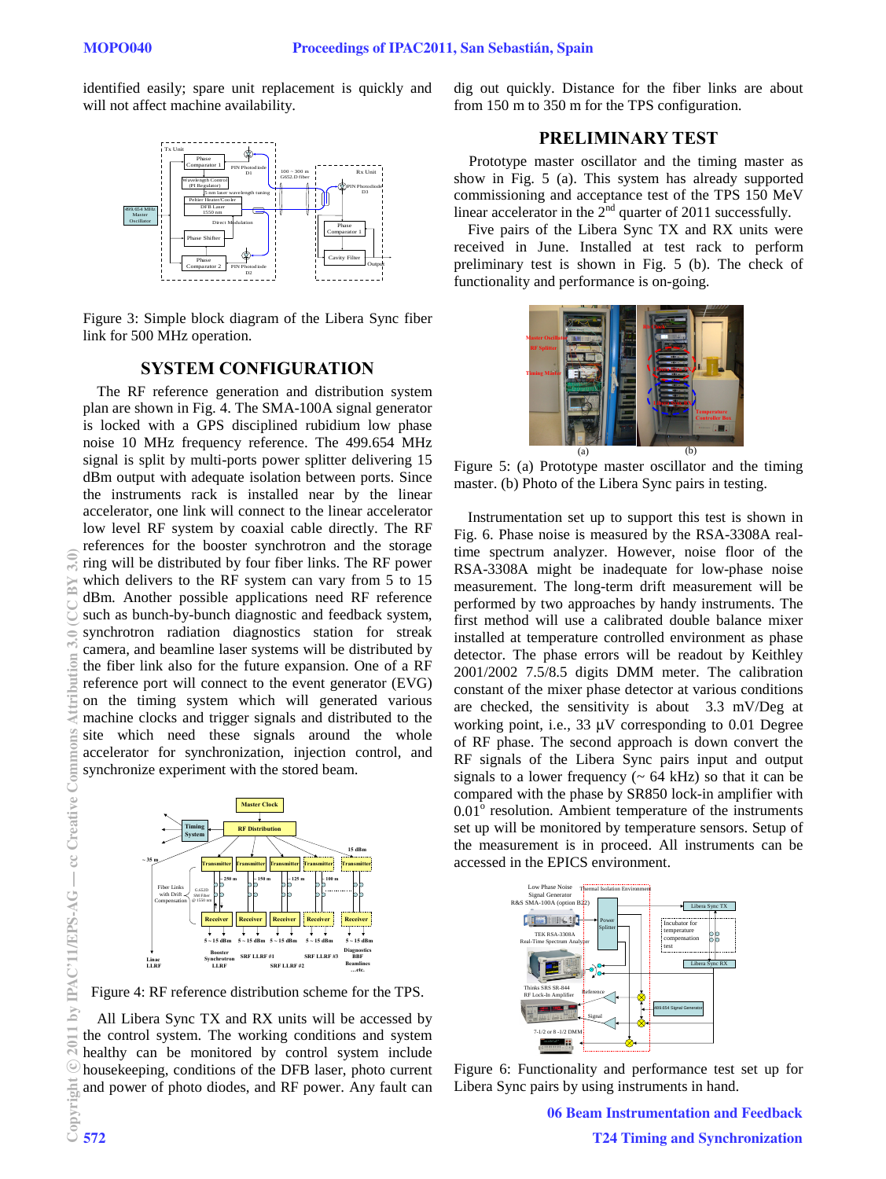identified easily; spare unit replacement is quickly and will not affect machine availability.



Figure 3: Simple block diagram of the Libera Sync fiber link for 500 MHz operation.

# **SYSTEM CONFIGURATION**

The RF reference generation and distribution system plan are shown in Fig. 4. The SMA-100A signal generator is locked with a GPS disciplined rubidium low phase noise 10 MHz frequency reference. The 499.654 MHz signal is split by multi-ports power splitter delivering 15 dBm output with adequate isolation between ports. Since the instruments rack is installed near by the linear accelerator, one link will connect to the linear accelerator low level RF system by coaxial cable directly. The RF references for the booster synchrotron and the storage ring will be distributed by four fiber links. The RF power which delivers to the RF system can vary from 5 to 15 dBm. Another possible applications need RF reference such as bunch-by-bunch diagnostic and feedback system, synchrotron radiation diagnostics station for streak camera, and beamline laser systems will be distributed by the fiber link also for the future expansion. One of a RF reference port will connect to the event generator (EVG) on the timing system which will generated various machine clocks and trigger signals and distributed to the site which need these signals around the whole accelerator for synchronization, injection control, and synchronize experiment with the stored beam.



Figure 4: RF reference distribution scheme for the TPS.

All Libera Sync TX and RX units will be accessed by the control system. The working conditions and system healthy can be monitored by control system include housekeeping, conditions of the DFB laser, photo current and power of photo diodes, and RF power. Any fault can dig out quickly. Distance for the fiber links are about from 150 m to 350 m for the TPS configuration.

### **PRELIMINARY TEST**

Prototype master oscillator and the timing master as show in Fig. 5 (a). This system has already supported commissioning and acceptance test of the TPS 150 MeV linear accelerator in the  $2<sup>nd</sup>$  quarter of 2011 successfully.

Five pairs of the Libera Sync TX and RX units were received in June. Installed at test rack to perform preliminary test is shown in Fig. 5 (b). The check of functionality and performance is on-going.



Figure 5: (a) Prototype master oscillator and the timing master. (b) Photo of the Libera Sync pairs in testing.

Instrumentation set up to support this test is shown in Fig. 6. Phase noise is measured by the RSA-3308A realtime spectrum analyzer. However, noise floor of the RSA-3308A might be inadequate for low-phase noise measurement. The long-term drift measurement will be performed by two approaches by handy instruments. The first method will use a calibrated double balance mixer installed at temperature controlled environment as phase detector. The phase errors will be readout by Keithley 2001/2002 7.5/8.5 digits DMM meter. The calibration constant of the mixer phase detector at various conditions are checked, the sensitivity is about 3.3 mV/Deg at working point, i.e., 33 μV corresponding to 0.01 Degree of RF phase. The second approach is down convert the RF signals of the Libera Sync pairs input and output signals to a lower frequency  $($   $\sim$  64 kHz) so that it can be compared with the phase by SR850 lock-in amplifier with  $0.01^{\circ}$  resolution. Ambient temperature of the instruments set up will be monitored by temperature sensors. Setup of the measurement is in proceed. All instruments can be accessed in the EPICS environment.



Figure 6: Functionality and performance test set up for Libera Sync pairs by using instruments in hand.

06 Beam Instrumentation and Feedback T24 Timing and Synchronization